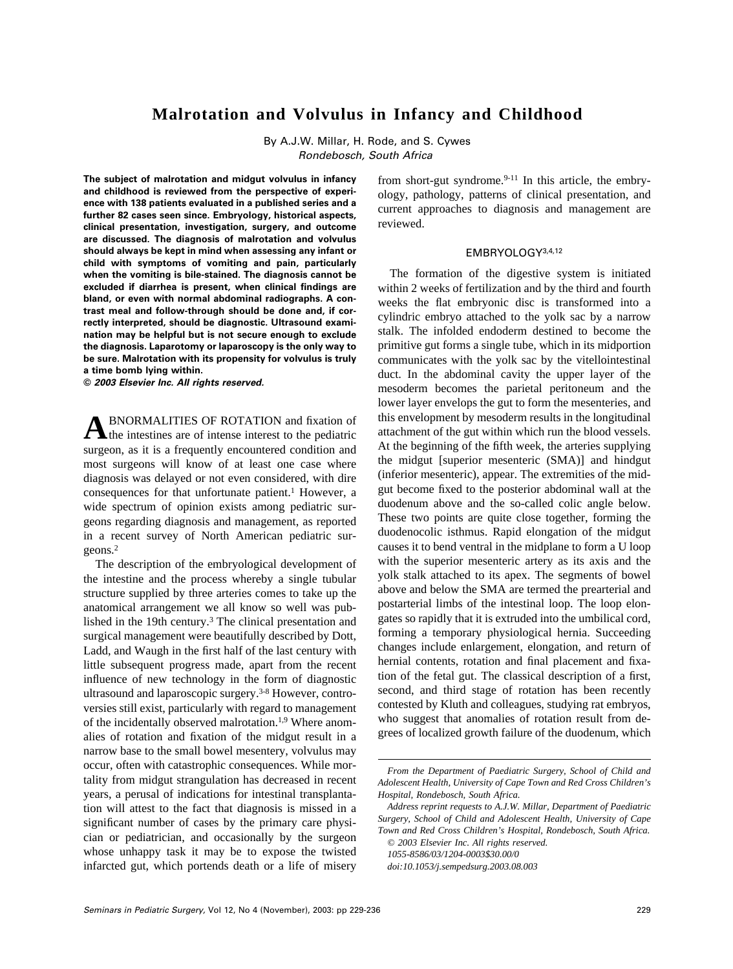# **Malrotation and Volvulus in Infancy and Childhood**

By A.J.W. Millar, H. Rode, and S. Cywes *Rondebosch, South Africa*

**The subject of malrotation and midgut volvulus in infancy and childhood is reviewed from the perspective of experience with 138 patients evaluated in a published series and a further 82 cases seen since. Embryology, historical aspects, clinical presentation, investigation, surgery, and outcome are discussed. The diagnosis of malrotation and volvulus should always be kept in mind when assessing any infant or child with symptoms of vomiting and pain, particularly when the vomiting is bile-stained. The diagnosis cannot be excluded if diarrhea is present, when clinical findings are bland, or even with normal abdominal radiographs. A contrast meal and follow-through should be done and, if correctly interpreted, should be diagnostic. Ultrasound examination may be helpful but is not secure enough to exclude the diagnosis. Laparotomy or laparoscopy is the only way to be sure. Malrotation with its propensity for volvulus is truly a time bomb lying within.**

**©** *2003 Elsevier Inc. All rights reserved.*

A BNORMALITIES OF ROTATION and fixation of the intestines are of intense interest to the pediatric surgeon, as it is a frequently encountered condition and most surgeons will know of at least one case where diagnosis was delayed or not even considered, with dire consequences for that unfortunate patient.<sup>1</sup> However, a wide spectrum of opinion exists among pediatric surgeons regarding diagnosis and management, as reported in a recent survey of North American pediatric surgeons.2

The description of the embryological development of the intestine and the process whereby a single tubular structure supplied by three arteries comes to take up the anatomical arrangement we all know so well was published in the 19th century.3 The clinical presentation and surgical management were beautifully described by Dott, Ladd, and Waugh in the first half of the last century with little subsequent progress made, apart from the recent influence of new technology in the form of diagnostic ultrasound and laparoscopic surgery.3-8 However, controversies still exist, particularly with regard to management of the incidentally observed malrotation.<sup>1,9</sup> Where anomalies of rotation and fixation of the midgut result in a narrow base to the small bowel mesentery, volvulus may occur, often with catastrophic consequences. While mortality from midgut strangulation has decreased in recent years, a perusal of indications for intestinal transplantation will attest to the fact that diagnosis is missed in a significant number of cases by the primary care physician or pediatrician, and occasionally by the surgeon whose unhappy task it may be to expose the twisted infarcted gut, which portends death or a life of misery

from short-gut syndrome. $9-11$  In this article, the embryology, pathology, patterns of clinical presentation, and current approaches to diagnosis and management are reviewed.

## EMBRYOLOGY3,4,12

The formation of the digestive system is initiated within 2 weeks of fertilization and by the third and fourth weeks the flat embryonic disc is transformed into a cylindric embryo attached to the yolk sac by a narrow stalk. The infolded endoderm destined to become the primitive gut forms a single tube, which in its midportion communicates with the yolk sac by the vitellointestinal duct. In the abdominal cavity the upper layer of the mesoderm becomes the parietal peritoneum and the lower layer envelops the gut to form the mesenteries, and this envelopment by mesoderm results in the longitudinal attachment of the gut within which run the blood vessels. At the beginning of the fifth week, the arteries supplying the midgut [superior mesenteric (SMA)] and hindgut (inferior mesenteric), appear. The extremities of the midgut become fixed to the posterior abdominal wall at the duodenum above and the so-called colic angle below. These two points are quite close together, forming the duodenocolic isthmus. Rapid elongation of the midgut causes it to bend ventral in the midplane to form a U loop with the superior mesenteric artery as its axis and the yolk stalk attached to its apex. The segments of bowel above and below the SMA are termed the prearterial and postarterial limbs of the intestinal loop. The loop elongates so rapidly that it is extruded into the umbilical cord, forming a temporary physiological hernia. Succeeding changes include enlargement, elongation, and return of hernial contents, rotation and final placement and fixation of the fetal gut. The classical description of a first, second, and third stage of rotation has been recently contested by Kluth and colleagues, studying rat embryos, who suggest that anomalies of rotation result from degrees of localized growth failure of the duodenum, which

*doi:10.1053/j.sempedsurg.2003.08.003*

*From the Department of Paediatric Surgery, School of Child and Adolescent Health, University of Cape Town and Red Cross Children's Hospital, Rondebosch, South Africa.*

*Address reprint requests to A.J.W. Millar, Department of Paediatric Surgery, School of Child and Adolescent Health, University of Cape Town and Red Cross Children's Hospital, Rondebosch, South Africa. © 2003 Elsevier Inc. All rights reserved.*

*<sup>1055-8586/03/1204-0003\$30.00/0</sup>*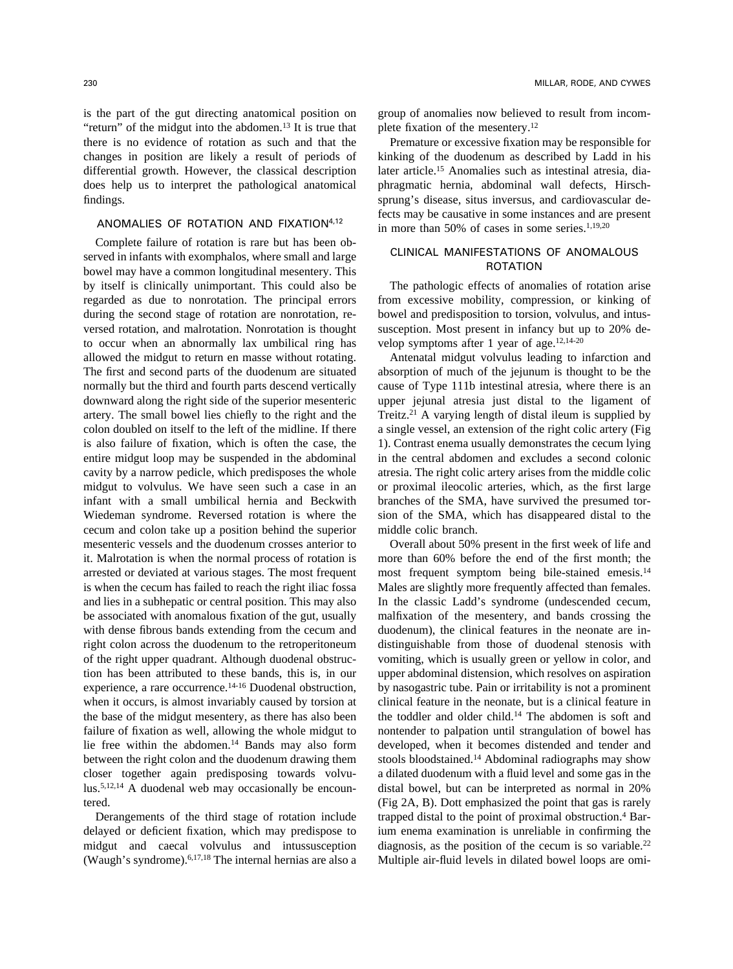is the part of the gut directing anatomical position on "return" of the midgut into the abdomen.<sup>13</sup> It is true that there is no evidence of rotation as such and that the changes in position are likely a result of periods of differential growth. However, the classical description does help us to interpret the pathological anatomical findings.

#### ANOMALIES OF ROTATION AND FIXATION4,12

Complete failure of rotation is rare but has been observed in infants with exomphalos, where small and large bowel may have a common longitudinal mesentery. This by itself is clinically unimportant. This could also be regarded as due to nonrotation. The principal errors during the second stage of rotation are nonrotation, reversed rotation, and malrotation. Nonrotation is thought to occur when an abnormally lax umbilical ring has allowed the midgut to return en masse without rotating. The first and second parts of the duodenum are situated normally but the third and fourth parts descend vertically downward along the right side of the superior mesenteric artery. The small bowel lies chiefly to the right and the colon doubled on itself to the left of the midline. If there is also failure of fixation, which is often the case, the entire midgut loop may be suspended in the abdominal cavity by a narrow pedicle, which predisposes the whole midgut to volvulus. We have seen such a case in an infant with a small umbilical hernia and Beckwith Wiedeman syndrome. Reversed rotation is where the cecum and colon take up a position behind the superior mesenteric vessels and the duodenum crosses anterior to it. Malrotation is when the normal process of rotation is arrested or deviated at various stages. The most frequent is when the cecum has failed to reach the right iliac fossa and lies in a subhepatic or central position. This may also be associated with anomalous fixation of the gut, usually with dense fibrous bands extending from the cecum and right colon across the duodenum to the retroperitoneum of the right upper quadrant. Although duodenal obstruction has been attributed to these bands, this is, in our experience, a rare occurrence.14-16 Duodenal obstruction, when it occurs, is almost invariably caused by torsion at the base of the midgut mesentery, as there has also been failure of fixation as well, allowing the whole midgut to lie free within the abdomen.14 Bands may also form between the right colon and the duodenum drawing them closer together again predisposing towards volvulus.5,12,14 A duodenal web may occasionally be encountered.

Derangements of the third stage of rotation include delayed or deficient fixation, which may predispose to midgut and caecal volvulus and intussusception (Waugh's syndrome).6,17,18 The internal hernias are also a

group of anomalies now believed to result from incomplete fixation of the mesentery.12

Premature or excessive fixation may be responsible for kinking of the duodenum as described by Ladd in his later article.15 Anomalies such as intestinal atresia, diaphragmatic hernia, abdominal wall defects, Hirschsprung's disease, situs inversus, and cardiovascular defects may be causative in some instances and are present in more than 50% of cases in some series. $1,19,20$ 

## CLINICAL MANIFESTATIONS OF ANOMALOUS ROTATION

The pathologic effects of anomalies of rotation arise from excessive mobility, compression, or kinking of bowel and predisposition to torsion, volvulus, and intussusception. Most present in infancy but up to 20% develop symptoms after 1 year of age.<sup>12,14-20</sup>

Antenatal midgut volvulus leading to infarction and absorption of much of the jejunum is thought to be the cause of Type 111b intestinal atresia, where there is an upper jejunal atresia just distal to the ligament of Treitz.21 A varying length of distal ileum is supplied by a single vessel, an extension of the right colic artery (Fig 1). Contrast enema usually demonstrates the cecum lying in the central abdomen and excludes a second colonic atresia. The right colic artery arises from the middle colic or proximal ileocolic arteries, which, as the first large branches of the SMA, have survived the presumed torsion of the SMA, which has disappeared distal to the middle colic branch.

Overall about 50% present in the first week of life and more than 60% before the end of the first month; the most frequent symptom being bile-stained emesis.14 Males are slightly more frequently affected than females. In the classic Ladd's syndrome (undescended cecum, malfixation of the mesentery, and bands crossing the duodenum), the clinical features in the neonate are indistinguishable from those of duodenal stenosis with vomiting, which is usually green or yellow in color, and upper abdominal distension, which resolves on aspiration by nasogastric tube. Pain or irritability is not a prominent clinical feature in the neonate, but is a clinical feature in the toddler and older child.<sup>14</sup> The abdomen is soft and nontender to palpation until strangulation of bowel has developed, when it becomes distended and tender and stools bloodstained.14 Abdominal radiographs may show a dilated duodenum with a fluid level and some gas in the distal bowel, but can be interpreted as normal in 20% (Fig 2A, B). Dott emphasized the point that gas is rarely trapped distal to the point of proximal obstruction.4 Barium enema examination is unreliable in confirming the diagnosis, as the position of the cecum is so variable.<sup>22</sup> Multiple air-fluid levels in dilated bowel loops are omi-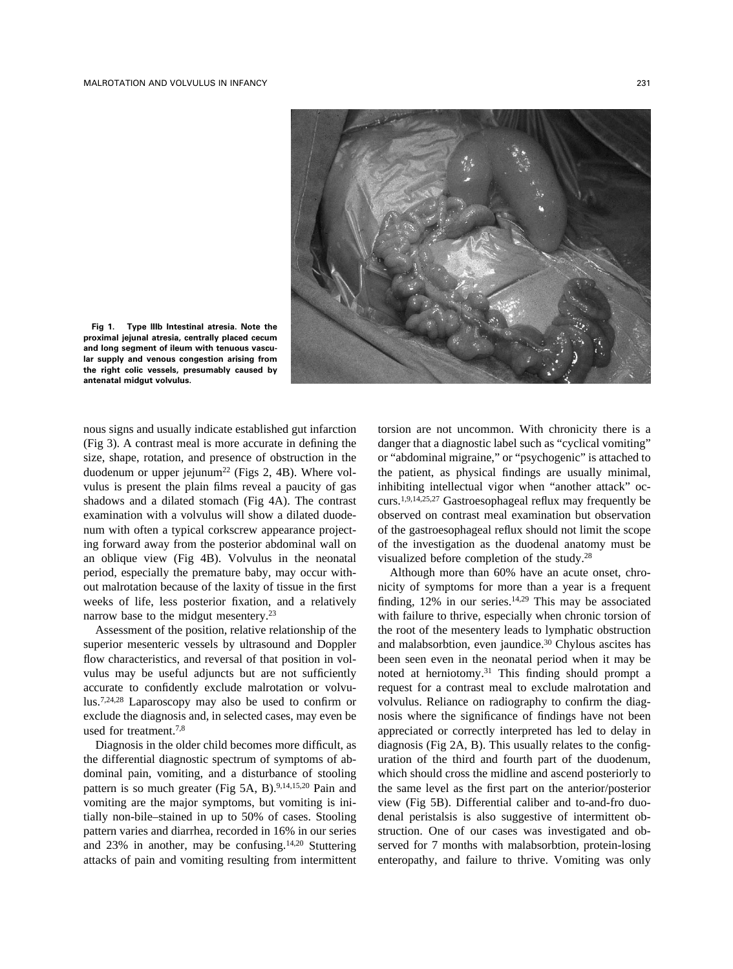

**Fig 1. Type IIIb Intestinal atresia. Note the proximal jejunal atresia, centrally placed cecum and long segment of ileum with tenuous vascular supply and venous congestion arising from the right colic vessels, presumably caused by antenatal midgut volvulus.**

nous signs and usually indicate established gut infarction (Fig 3). A contrast meal is more accurate in defining the size, shape, rotation, and presence of obstruction in the duodenum or upper jejunum<sup>22</sup> (Figs 2, 4B). Where volvulus is present the plain films reveal a paucity of gas shadows and a dilated stomach (Fig 4A). The contrast examination with a volvulus will show a dilated duodenum with often a typical corkscrew appearance projecting forward away from the posterior abdominal wall on an oblique view (Fig 4B). Volvulus in the neonatal period, especially the premature baby, may occur without malrotation because of the laxity of tissue in the first weeks of life, less posterior fixation, and a relatively narrow base to the midgut mesentery.23

Assessment of the position, relative relationship of the superior mesenteric vessels by ultrasound and Doppler flow characteristics, and reversal of that position in volvulus may be useful adjuncts but are not sufficiently accurate to confidently exclude malrotation or volvulus.7,24,28 Laparoscopy may also be used to confirm or exclude the diagnosis and, in selected cases, may even be used for treatment.7,8

Diagnosis in the older child becomes more difficult, as the differential diagnostic spectrum of symptoms of abdominal pain, vomiting, and a disturbance of stooling pattern is so much greater (Fig 5A, B). $9,14,15,20$  Pain and vomiting are the major symptoms, but vomiting is initially non-bile–stained in up to 50% of cases. Stooling pattern varies and diarrhea, recorded in 16% in our series and 23% in another, may be confusing.14,20 Stuttering attacks of pain and vomiting resulting from intermittent torsion are not uncommon. With chronicity there is a danger that a diagnostic label such as "cyclical vomiting" or "abdominal migraine," or "psychogenic" is attached to the patient, as physical findings are usually minimal, inhibiting intellectual vigor when "another attack" occurs.1,9,14,25,27 Gastroesophageal reflux may frequently be observed on contrast meal examination but observation of the gastroesophageal reflux should not limit the scope of the investigation as the duodenal anatomy must be visualized before completion of the study.28

Although more than 60% have an acute onset, chronicity of symptoms for more than a year is a frequent finding,  $12\%$  in our series.<sup>14,29</sup> This may be associated with failure to thrive, especially when chronic torsion of the root of the mesentery leads to lymphatic obstruction and malabsorbtion, even jaundice.30 Chylous ascites has been seen even in the neonatal period when it may be noted at herniotomy.31 This finding should prompt a request for a contrast meal to exclude malrotation and volvulus. Reliance on radiography to confirm the diagnosis where the significance of findings have not been appreciated or correctly interpreted has led to delay in diagnosis (Fig 2A, B). This usually relates to the configuration of the third and fourth part of the duodenum, which should cross the midline and ascend posteriorly to the same level as the first part on the anterior/posterior view (Fig 5B). Differential caliber and to-and-fro duodenal peristalsis is also suggestive of intermittent obstruction. One of our cases was investigated and observed for 7 months with malabsorbtion, protein-losing enteropathy, and failure to thrive. Vomiting was only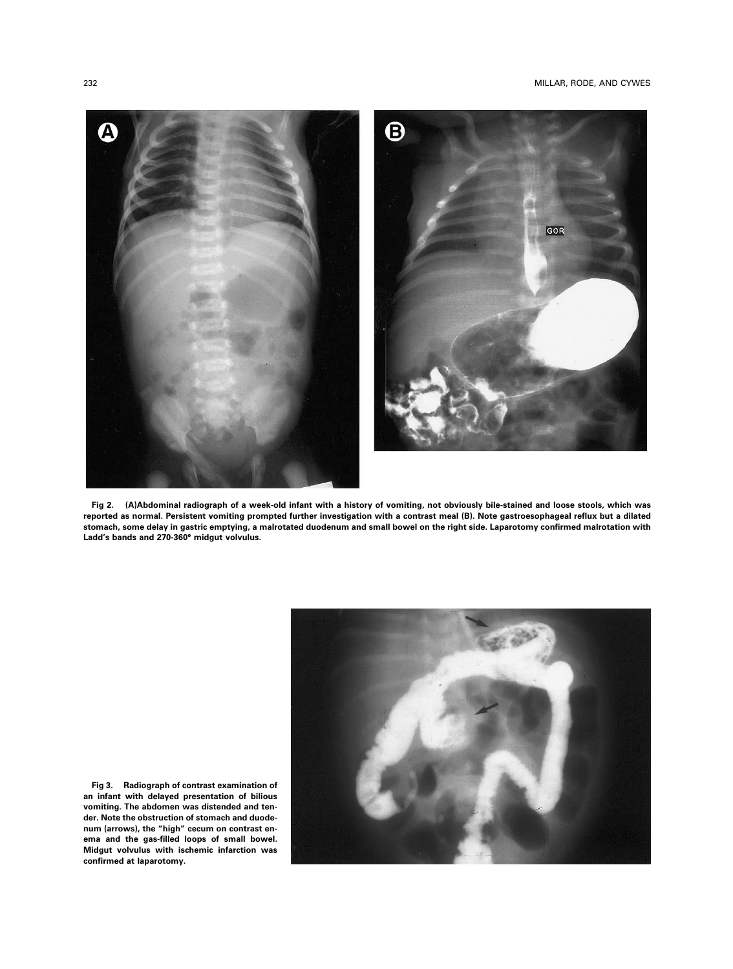

**Fig 2. (A)Abdominal radiograph of a week-old infant with a history of vomiting, not obviously bile-stained and loose stools, which was reported as normal. Persistent vomiting prompted further investigation with a contrast meal (B). Note gastroesophageal reflux but a dilated stomach, some delay in gastric emptying, a malrotated duodenum and small bowel on the right side. Laparotomy confirmed malrotation with Ladd's bands and 270-360° midgut volvulus.**



**Fig 3. Radiograph of contrast examination of an infant with delayed presentation of bilious vomiting. The abdomen was distended and tender. Note the obstruction of stomach and duodenum (arrows), the "high" cecum on contrast enema and the gas-filled loops of small bowel. Midgut volvulus with ischemic infarction was confirmed at laparotomy.**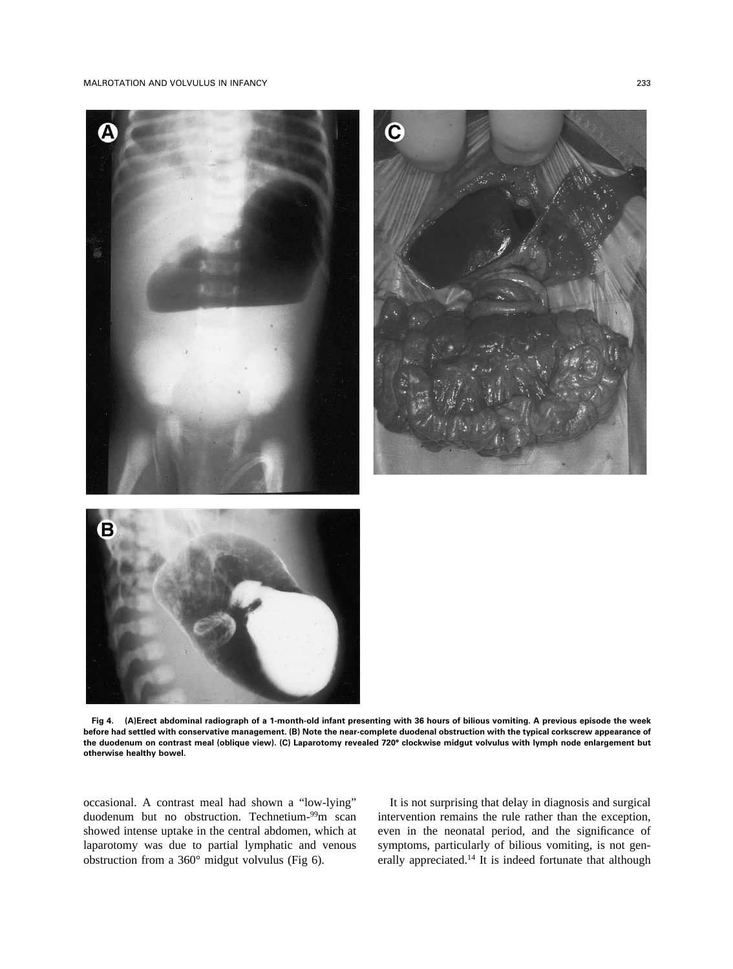#### MALROTATION AND VOLVULUS IN INFANCY 233



**Fig 4. (A)Erect abdominal radiograph of a 1-month-old infant presenting with 36 hours of bilious vomiting. A previous episode the week before had settled with conservative management. (B) Note the near-complete duodenal obstruction with the typical corkscrew appearance of the duodenum on contrast meal (oblique view). (C) Laparotomy revealed 720° clockwise midgut volvulus with lymph node enlargement but otherwise healthy bowel.**

occasional. A contrast meal had shown a "low-lying" duodenum but no obstruction. Technetium-99m scan showed intense uptake in the central abdomen, which at laparotomy was due to partial lymphatic and venous obstruction from a 360° midgut volvulus (Fig 6).

It is not surprising that delay in diagnosis and surgical intervention remains the rule rather than the exception, even in the neonatal period, and the significance of symptoms, particularly of bilious vomiting, is not generally appreciated.14 It is indeed fortunate that although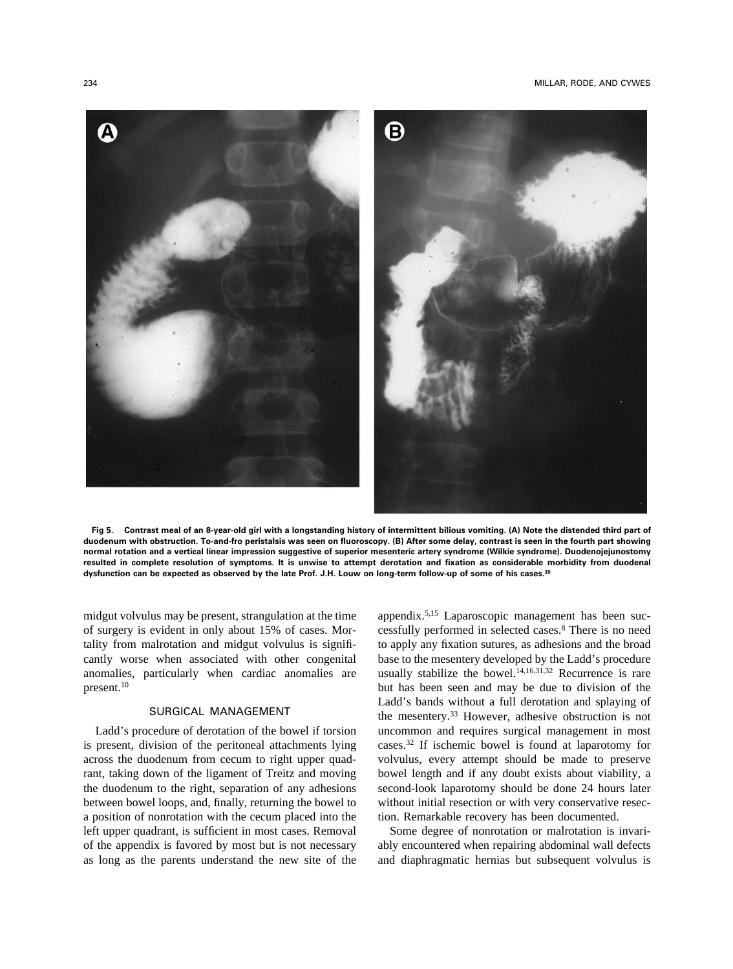

**Fig 5. Contrast meal of an 8-year-old girl with a longstanding history of intermittent bilious vomiting. (A) Note the distended third part of duodenum with obstruction. To-and-fro peristalsis was seen on fluoroscopy. (B) After some delay, contrast is seen in the fourth part showing normal rotation and a vertical linear impression suggestive of superior mesenteric artery syndrome (Wilkie syndrome). Duodenojejunostomy resulted in complete resolution of symptoms. It is unwise to attempt derotation and fixation as considerable morbidity from duodenal dysfunction can be expected as observed by the late Prof. J.H. Louw on long-term follow-up of some of his cases.35**

midgut volvulus may be present, strangulation at the time of surgery is evident in only about 15% of cases. Mortality from malrotation and midgut volvulus is significantly worse when associated with other congenital anomalies, particularly when cardiac anomalies are present.10

### SURGICAL MANAGEMENT

Ladd's procedure of derotation of the bowel if torsion is present, division of the peritoneal attachments lying across the duodenum from cecum to right upper quadrant, taking down of the ligament of Treitz and moving the duodenum to the right, separation of any adhesions between bowel loops, and, finally, returning the bowel to a position of nonrotation with the cecum placed into the left upper quadrant, is sufficient in most cases. Removal of the appendix is favored by most but is not necessary as long as the parents understand the new site of the appendix.5,15 Laparoscopic management has been successfully performed in selected cases.8 There is no need to apply any fixation sutures, as adhesions and the broad base to the mesentery developed by the Ladd's procedure usually stabilize the bowel.14,16,31,32 Recurrence is rare but has been seen and may be due to division of the Ladd's bands without a full derotation and splaying of the mesentery.33 However, adhesive obstruction is not uncommon and requires surgical management in most cases.32 If ischemic bowel is found at laparotomy for volvulus, every attempt should be made to preserve bowel length and if any doubt exists about viability, a second-look laparotomy should be done 24 hours later without initial resection or with very conservative resection. Remarkable recovery has been documented.

Some degree of nonrotation or malrotation is invariably encountered when repairing abdominal wall defects and diaphragmatic hernias but subsequent volvulus is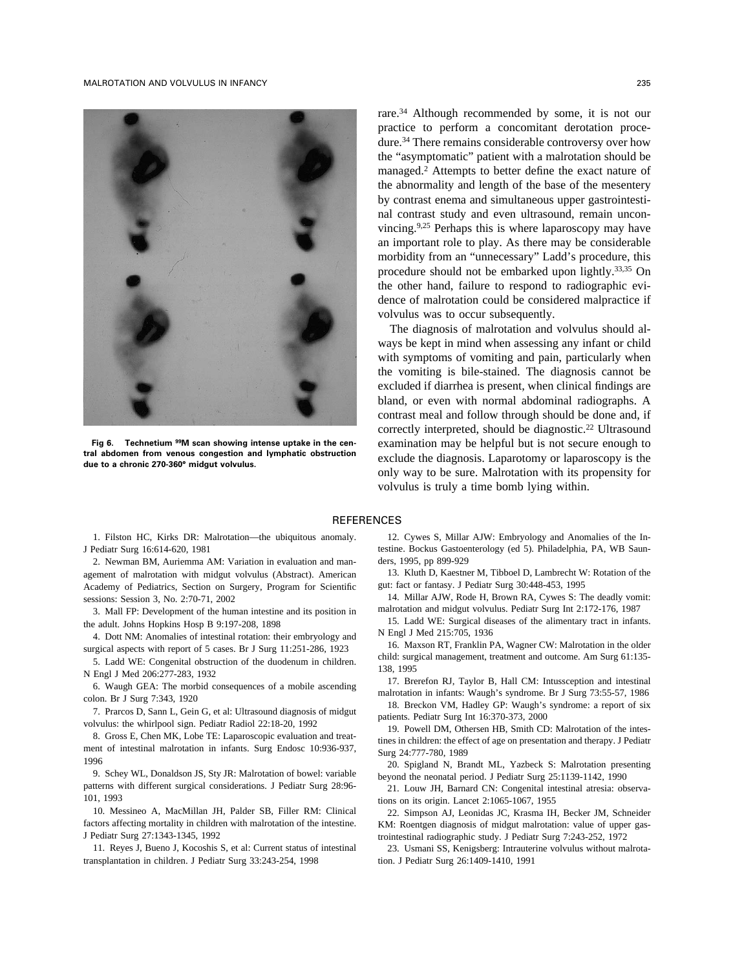

**Fig 6. Technetium 99M scan showing intense uptake in the central abdomen from venous congestion and lymphatic obstruction due to a chronic 270-360° midgut volvulus.**

rare.34 Although recommended by some, it is not our practice to perform a concomitant derotation procedure.34 There remains considerable controversy over how the "asymptomatic" patient with a malrotation should be managed.2 Attempts to better define the exact nature of the abnormality and length of the base of the mesentery by contrast enema and simultaneous upper gastrointestinal contrast study and even ultrasound, remain unconvincing.9,25 Perhaps this is where laparoscopy may have an important role to play. As there may be considerable morbidity from an "unnecessary" Ladd's procedure, this procedure should not be embarked upon lightly.33,35 On the other hand, failure to respond to radiographic evidence of malrotation could be considered malpractice if volvulus was to occur subsequently.

The diagnosis of malrotation and volvulus should always be kept in mind when assessing any infant or child with symptoms of vomiting and pain, particularly when the vomiting is bile-stained. The diagnosis cannot be excluded if diarrhea is present, when clinical findings are bland, or even with normal abdominal radiographs. A contrast meal and follow through should be done and, if correctly interpreted, should be diagnostic.<sup>22</sup> Ultrasound examination may be helpful but is not secure enough to exclude the diagnosis. Laparotomy or laparoscopy is the only way to be sure. Malrotation with its propensity for volvulus is truly a time bomb lying within.

#### REFERENCES

1. Filston HC, Kirks DR: Malrotation—the ubiquitous anomaly. J Pediatr Surg 16:614-620, 1981

2. Newman BM, Auriemma AM: Variation in evaluation and management of malrotation with midgut volvulus (Abstract). American Academy of Pediatrics, Section on Surgery, Program for Scientific sessions: Session 3, No. 2:70-71, 2002

3. Mall FP: Development of the human intestine and its position in the adult. Johns Hopkins Hosp B 9:197-208, 1898

4. Dott NM: Anomalies of intestinal rotation: their embryology and surgical aspects with report of 5 cases. Br J Surg 11:251-286, 1923

5. Ladd WE: Congenital obstruction of the duodenum in children. N Engl J Med 206:277-283, 1932

6. Waugh GEA: The morbid consequences of a mobile ascending colon. Br J Surg 7:343, 1920

7. Prarcos D, Sann L, Gein G, et al: Ultrasound diagnosis of midgut volvulus: the whirlpool sign. Pediatr Radiol 22:18-20, 1992

8. Gross E, Chen MK, Lobe TE: Laparoscopic evaluation and treatment of intestinal malrotation in infants. Surg Endosc 10:936-937, 1996

9. Schey WL, Donaldson JS, Sty JR: Malrotation of bowel: variable patterns with different surgical considerations. J Pediatr Surg 28:96- 101, 1993

10. Messineo A, MacMillan JH, Palder SB, Filler RM: Clinical factors affecting mortality in children with malrotation of the intestine. J Pediatr Surg 27:1343-1345, 1992

11. Reyes J, Bueno J, Kocoshis S, et al: Current status of intestinal transplantation in children. J Pediatr Surg 33:243-254, 1998

12. Cywes S, Millar AJW: Embryology and Anomalies of the Intestine. Bockus Gastoenterology (ed 5). Philadelphia, PA, WB Saunders, 1995, pp 899-929

13. Kluth D, Kaestner M, Tibboel D, Lambrecht W: Rotation of the gut: fact or fantasy. J Pediatr Surg 30:448-453, 1995

14. Millar AJW, Rode H, Brown RA, Cywes S: The deadly vomit: malrotation and midgut volvulus. Pediatr Surg Int 2:172-176, 1987

15. Ladd WE: Surgical diseases of the alimentary tract in infants. N Engl J Med 215:705, 1936

16. Maxson RT, Franklin PA, Wagner CW: Malrotation in the older child: surgical management, treatment and outcome. Am Surg 61:135- 138, 1995

17. Brerefon RJ, Taylor B, Hall CM: Intussception and intestinal malrotation in infants: Waugh's syndrome. Br J Surg 73:55-57, 1986

18. Breckon VM, Hadley GP: Waugh's syndrome: a report of six patients. Pediatr Surg Int 16:370-373, 2000

19. Powell DM, Othersen HB, Smith CD: Malrotation of the intestines in children: the effect of age on presentation and therapy. J Pediatr Surg 24:777-780, 1989

20. Spigland N, Brandt ML, Yazbeck S: Malrotation presenting beyond the neonatal period. J Pediatr Surg 25:1139-1142, 1990

21. Louw JH, Barnard CN: Congenital intestinal atresia: observations on its origin. Lancet 2:1065-1067, 1955

22. Simpson AJ, Leonidas JC, Krasma IH, Becker JM, Schneider KM: Roentgen diagnosis of midgut malrotation: value of upper gastrointestinal radiographic study. J Pediatr Surg 7:243-252, 1972

23. Usmani SS, Kenigsberg: Intrauterine volvulus without malrotation. J Pediatr Surg 26:1409-1410, 1991